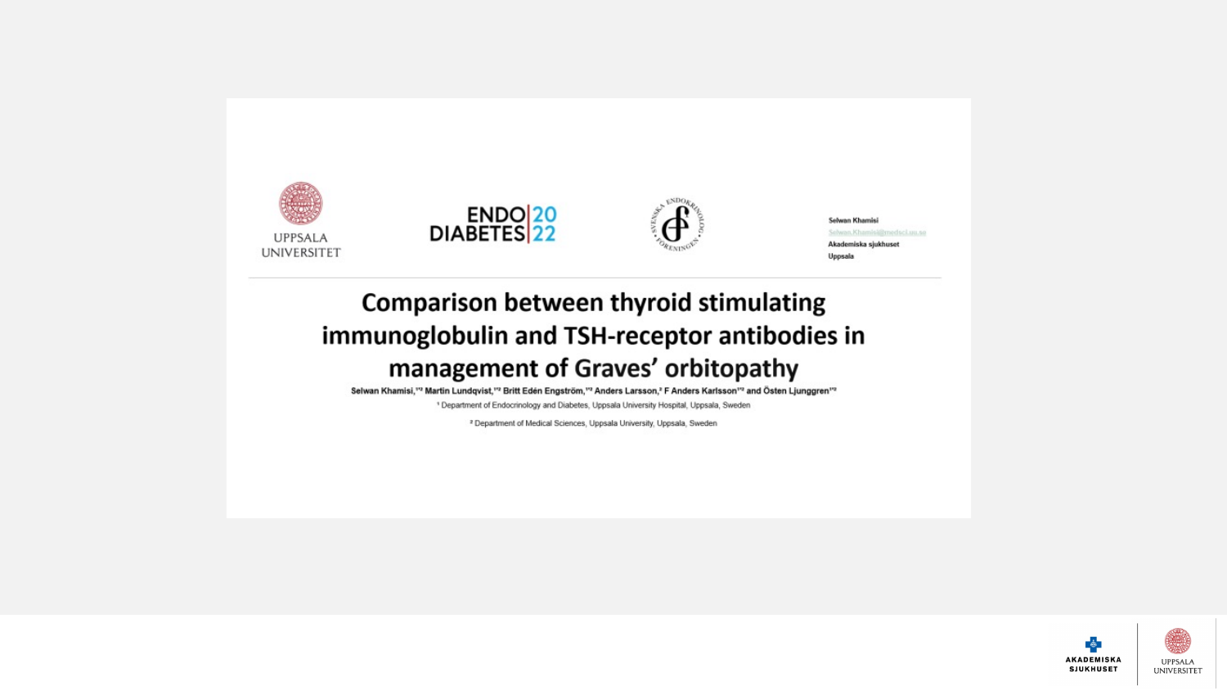

Selwan Khamisi ielwan.Khamis Akademiska sjukhuset Uppsala

### **Comparison between thyroid stimulating** immunoglobulin and TSH-receptor antibodies in management of Graves' orbitopathy

Selwan Khamisi,"2 Martin Lundqvist,"2 Britt Eden Engström,"2 Anders Larsson,2 F Anders Karlsson"2 and Östen Ljunggren"2

<sup>1</sup> Department of Endocrinology and Diabetes, Uppsala University Hospital, Uppsala, Sweden

<sup>2</sup> Department of Medical Sciences, Uppsala University, Uppsala, Sweden

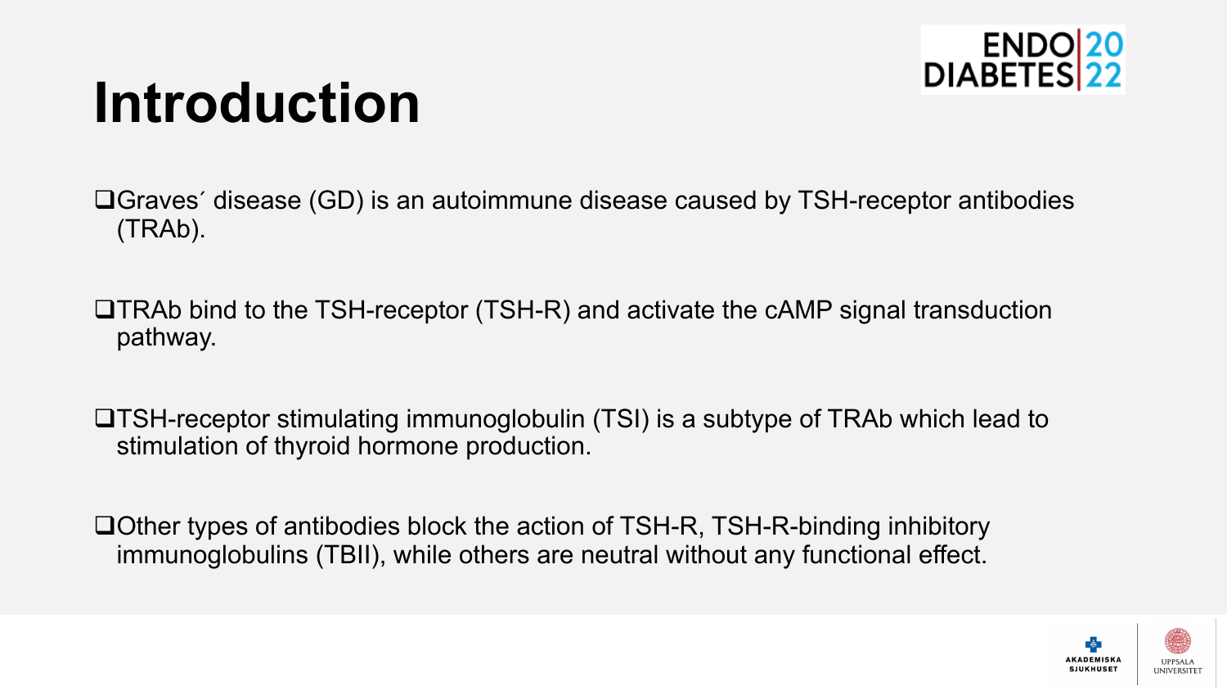

## **Introduction**

 $\Box$ Graves´ disease (GD) is an autoimmune disease caused by TSH-receptor antibodies (TRAb).

 $\Box$ TRAb bind to the TSH-receptor (TSH-R) and activate the cAMP signal transduction pathway.

 $\Box$ TSH-receptor stimulating immunoglobulin (TSI) is a subtype of TRAb which lead to stimulation of thyroid hormone production.

 $\Box$ Other types of antibodies block the action of TSH-R, TSH-R-binding inhibitory immunoglobulins (TBII), while others are neutral without any functional effect.

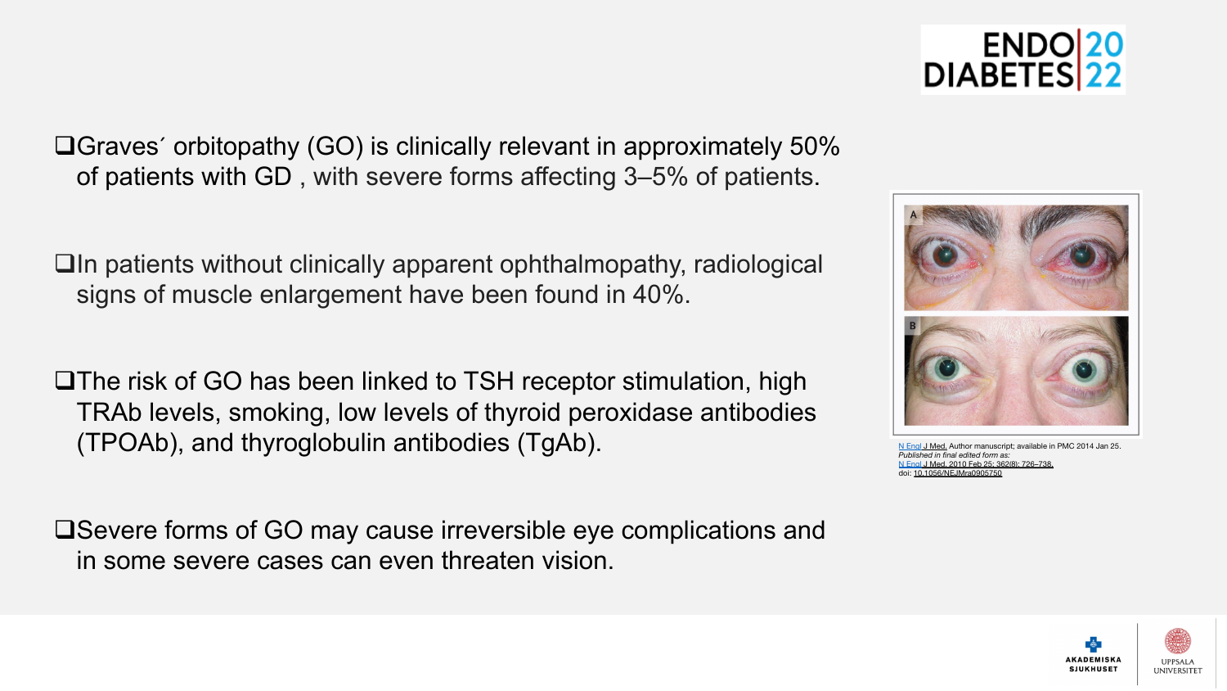$\Box$ Graves´ orbitopathy (GO) is clinically relevant in approximately of patients with GD, with severe forms affecting 3-5% of patie

 $\Box$ In patients without clinically apparent ophthalmopathy, radiolog signs of muscle enlargement have been found in 40%.

 $\square$ The risk of GO has been linked to TSH receptor stimulation, high TRAb levels, smoking, low levels of thyroid peroxidase antibod (TPOAb), and thyroglobulin antibodies (TgAb).

 $\square$ Severe forms of GO may cause irreversible eye complications in some severe cases can even threaten vision.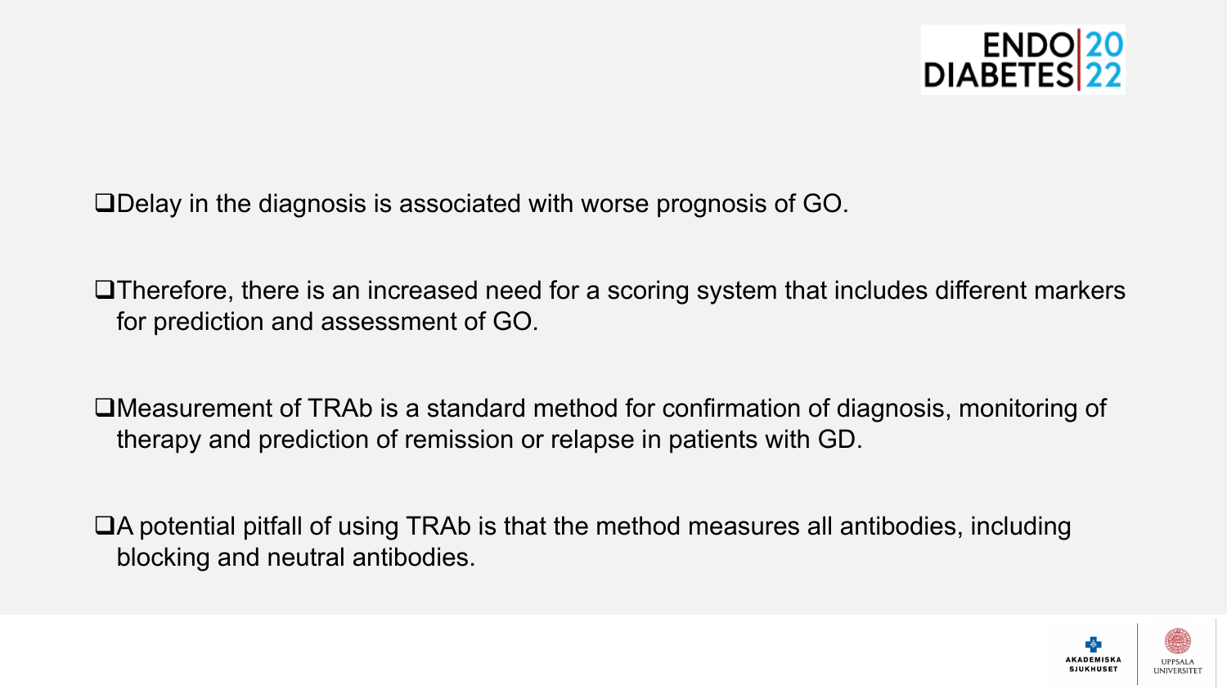

 $\square$ Delay in the diagnosis is associated with worse prognosis of GO.

 $\Box$ Therefore, there is an increased need for a scoring system that includes different markers for prediction and assessment of GO.

 $\square$ Measurement of TRAb is a standard method for confirmation of diagnosis, monitoring of therapy and prediction of remission or relapse in patients with GD.

 $\Box$ A potential pitfall of using TRAb is that the method measures all antibodies, including blocking and neutral antibodies.

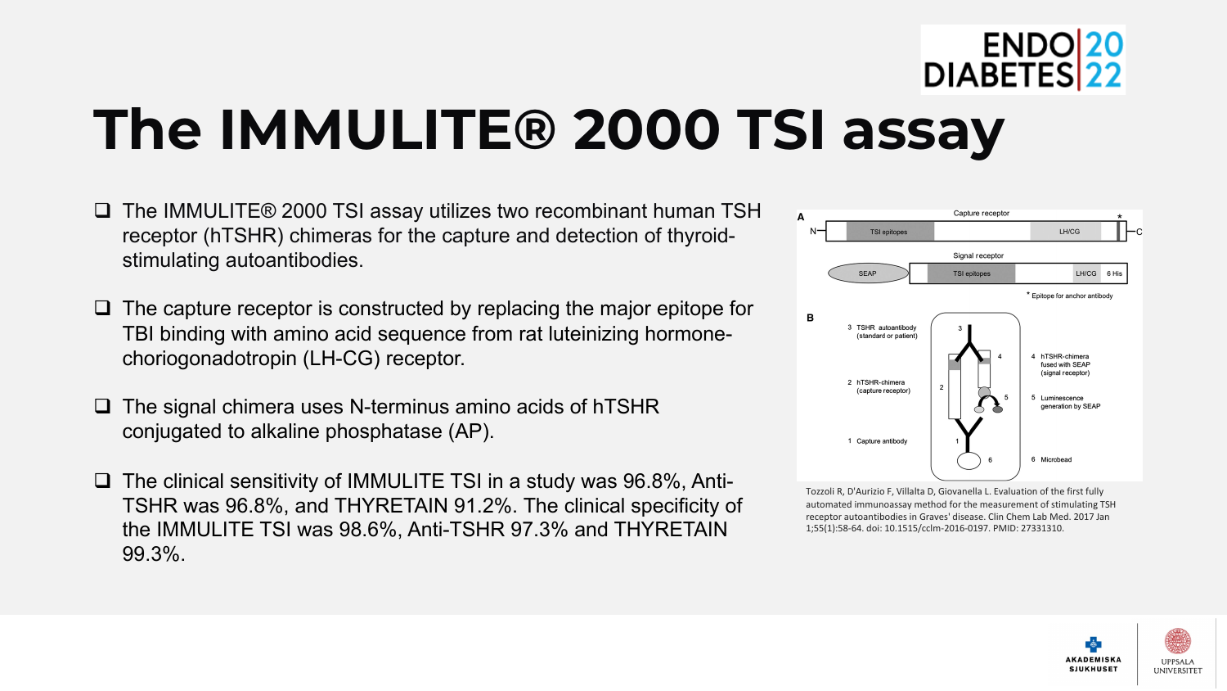

## **The IMMULITE® 2000 TSI assay**

- □ The IMMULITE® 2000 TSI assay utilizes two recombinant human TSH receptor (hTSHR) chimeras for the capture and detection of thyroidstimulating autoantibodies.
- $\Box$  The capture receptor is constructed by replacing the major epitope for TBI binding with amino acid sequence from rat luteinizing hormonechoriogonadotropin (LH-CG) receptor.
- $\Box$  The signal chimera uses N-terminus amino acids of hTSHR conjugated to alkaline phosphatase (AP).
- $\Box$  The clinical sensitivity of IMMULITE TSI in a study was 96.8%, Anti-TSHR was 96.8%, and THYRETAIN 91.2%. The clinical specificity of the IMMULITE TSI was 98.6%, Anti-TSHR 97.3% and THYRETAIN 99.3%.



Tozzoli R, D'Aurizio F, Villalta D, Giovanella L. Evaluation of the first fully automated immunoassay method for the measurement of stimulating TSH receptor autoantibodies in Graves' disease. Clin Chem Lab Med. 2017 Jan 1;55(1):58-64. doi: 10.1515/cclm-2016-0197. PMID: 27331310.

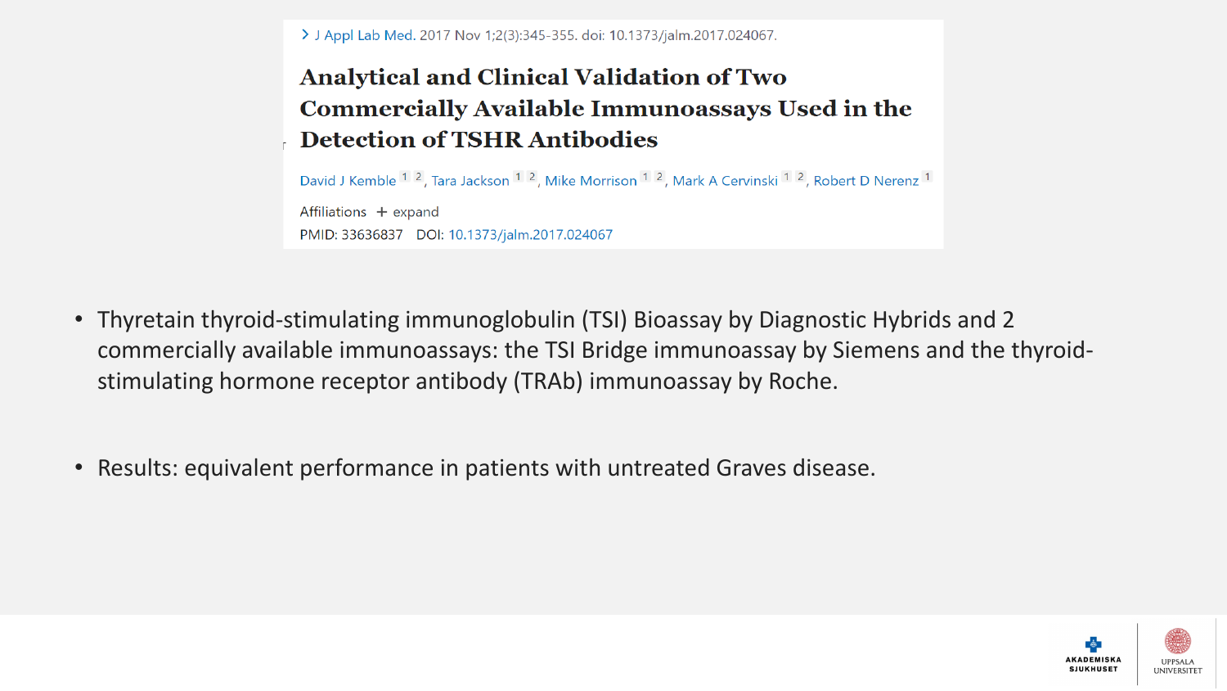> J Appl Lab Med. 2017 Nov 1;2(3):345-355. doi: 10.1373/jalm.2017.024067.

### **Analytical and Clinical Validation of Two Commercially Available Immunoassays Used in the Detection of TSHR Antibodies**

David J Kemble <sup>1</sup> <sup>2</sup>, Tara Jackson <sup>1</sup> <sup>2</sup>, Mike Morrison <sup>1</sup> <sup>2</sup>, Mark A Cervinski <sup>1</sup> <sup>2</sup>, Robert D Nerenz <sup>1</sup> Affiliations + expand PMID: 33636837 DOI: 10.1373/jalm.2017.024067

- Thyretain thyroid-stimulating immunoglobulin (TSI) Bioassay by Diagnostic Hybrids and 2 commercially available immunoassays: the TSI Bridge immunoassay by Siemens and the thyroidstimulating hormone receptor antibody (TRAb) immunoassay by Roche.
- Results: equivalent performance in patients with untreated Graves disease.

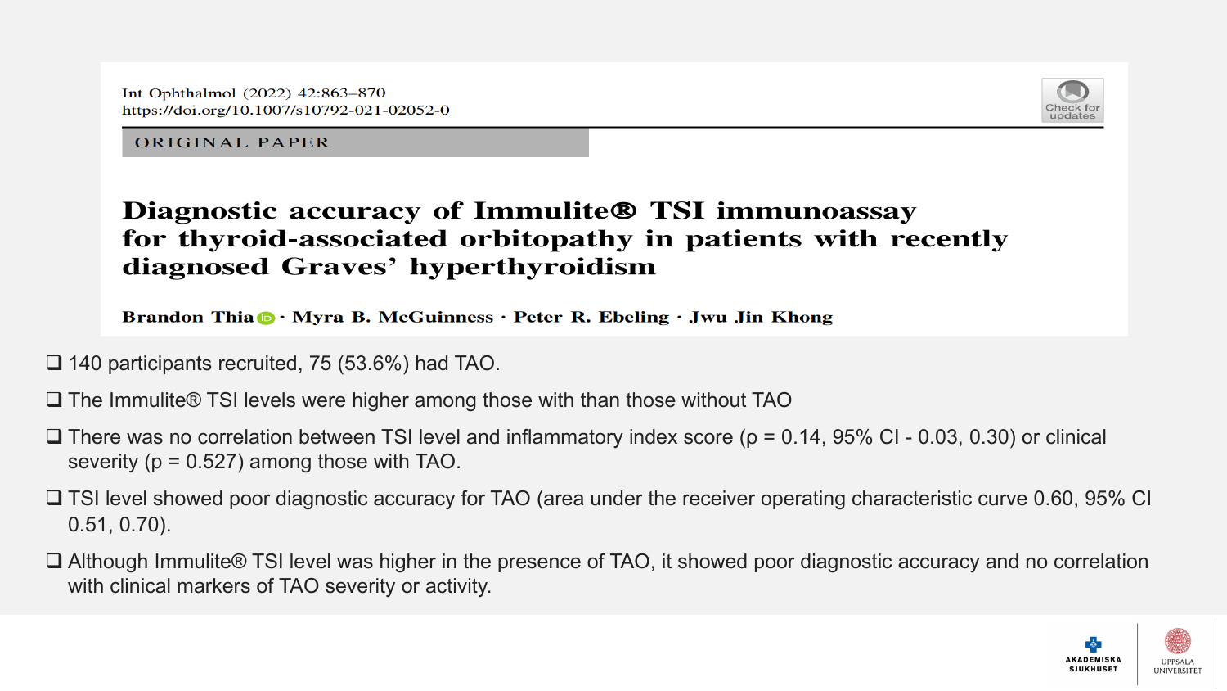Int Ophthalmol (2022) 42:863-870 https://doi.org/10.1007/s10792-021-02052-0



#### **ORIGINAL PAPER**

### Diagnostic accuracy of Immulite® TSI immunoassay for thyroid-associated orbitopathy in patients with recently diagnosed Graves' hyperthyroidism

Brandon Thia **D** · Myra B. McGuinness · Peter R. Ebeling · Jwu Jin Khong

- $\Box$  140 participants recruited, 75 (53.6%) had TAO.
- $\square$  The Immulite® TSI levels were higher among those with than those without TAO
- $\Box$  There was no correlation between TSI level and inflammatory index score ( $\rho$  = 0.14, 95% CI 0.03, 0.30) or clinical severity (p = 0.527) among those with TAO.
- $\square$  TSI level showed poor diagnostic accuracy for TAO (area under the receiver operating characteristic curve 0.60, 95% CI 0.51, 0.70).
- $\square$  Although Immulite® TSI level was higher in the presence of TAO, it showed poor diagnostic accuracy and no correlation with clinical markers of TAO severity or activity.

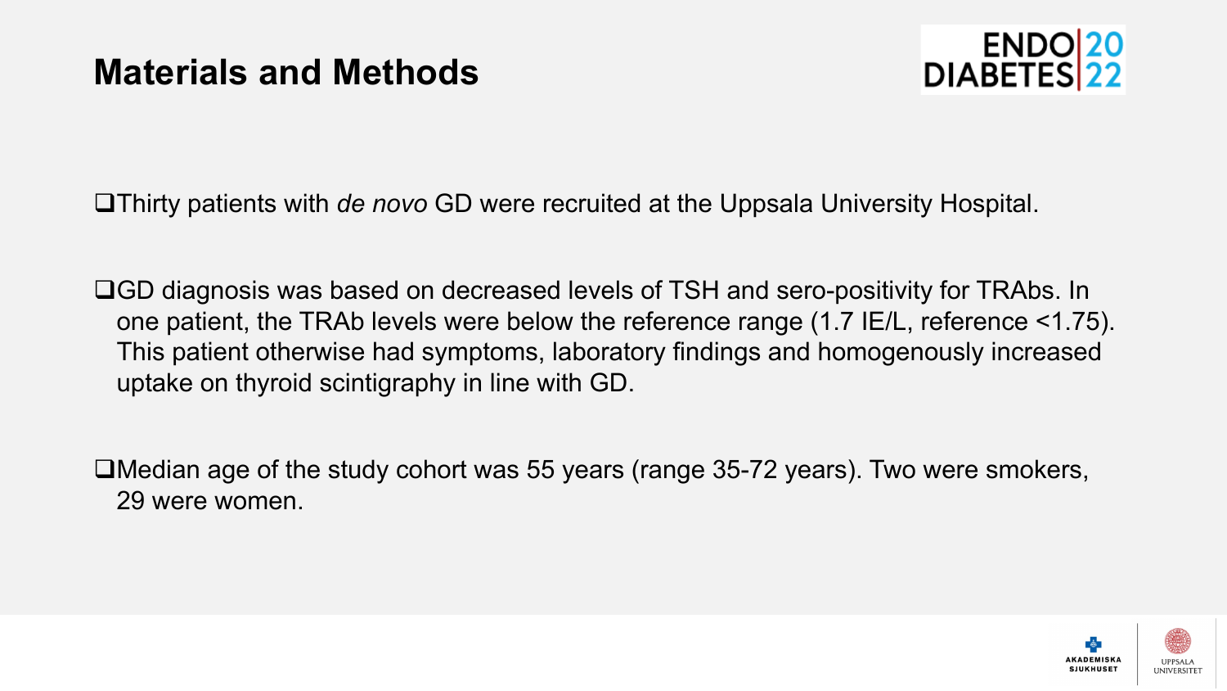

qThirty patients with *de novo* GD were recruited at the Uppsala University Hospital.

□GD diagnosis was based on decreased levels of TSH and sero-positivity for TRAbs. In one patient, the TRAb levels were below the reference range (1.7 IE/L, reference <1.75). This patient otherwise had symptoms, laboratory findings and homogenously increased uptake on thyroid scintigraphy in line with GD.

 $\Box$ Median age of the study cohort was 55 years (range 35-72 years). Two were smokers, 29 were women.

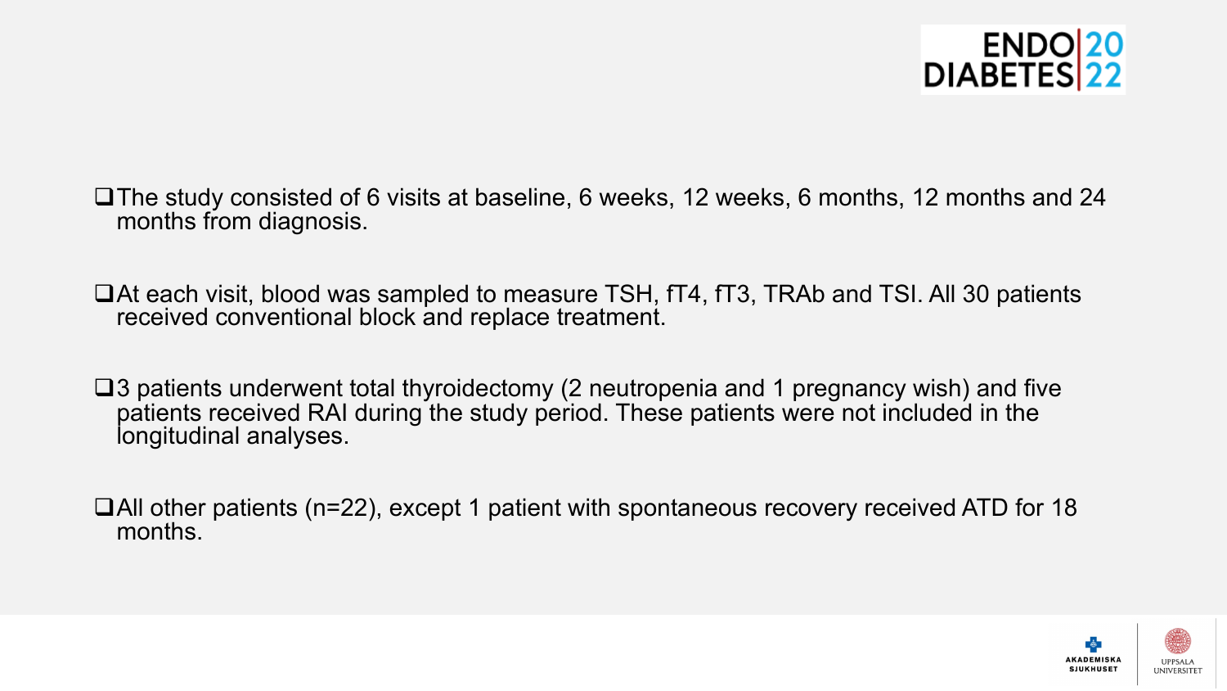

- $\Box$ The study consisted of 6 visits at baseline, 6 weeks, 12 weeks, 6 months, 12 months and 24 months from diagnosis.
- $\Box$ At each visit, blood was sampled to measure TSH,  $\text{TT4}$ ,  $\text{TT3}$ , TRAb and TSI. All 30 patients received conventional block and replace treatment.
- $\square$ 3 patients underwent total thyroidectomy (2 neutropenia and 1 pregnancy wish) and five patients received RAI during the study period. These patients were not included in the longitudinal analyses.
- $\Box$ All other patients (n=22), except 1 patient with spontaneous recovery received ATD for 18 months.

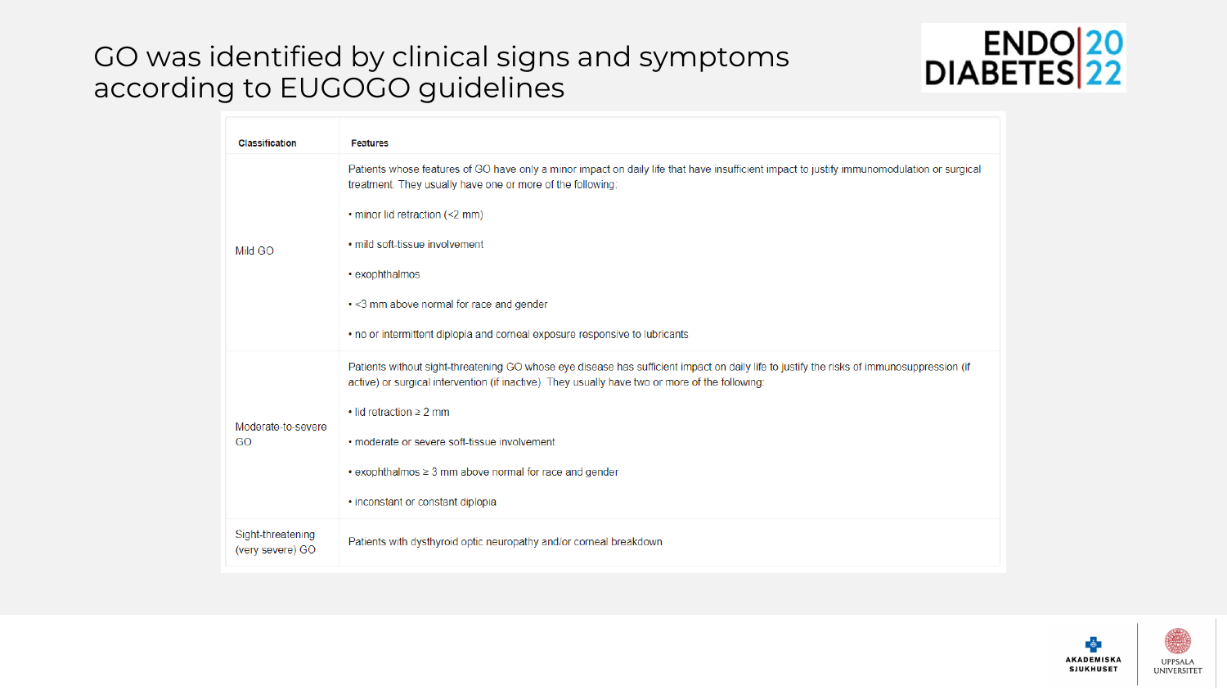### GO was identified by clinical signs and symptoms according to EUGOGO guidelines



| <b>Classification</b>                 | <b>Features</b>                                                                                                                                                                                                                              |
|---------------------------------------|----------------------------------------------------------------------------------------------------------------------------------------------------------------------------------------------------------------------------------------------|
| Mild GO                               | Patients whose features of GO have only a minor impact on daily life that have insufficient impact to justify immunomodulation or surgical<br>treatment. They usually have one or more of the following:                                     |
|                                       | • minor lid retraction (<2 mm)                                                                                                                                                                                                               |
|                                       | . mild soft-tissue involvement                                                                                                                                                                                                               |
|                                       | • exophthalmos                                                                                                                                                                                                                               |
|                                       | . < 3 mm above normal for race and gender                                                                                                                                                                                                    |
|                                       | . no or intermittent diplopia and corneal exposure responsive to lubricants                                                                                                                                                                  |
| Moderate-to-severe<br>GO              | Patients without sight-threatening GO whose eye disease has sufficient impact on daily life to justify the risks of immunosuppression (if<br>active) or surgical intervention (if inactive). They usually have two or more of the following: |
|                                       | $\cdot$ lid retraction $\geq$ 2 mm                                                                                                                                                                                                           |
|                                       | • moderate or severe soft-tissue involvement                                                                                                                                                                                                 |
|                                       | $\cdot$ exophthalmos $\geq$ 3 mm above normal for race and gender                                                                                                                                                                            |
|                                       | • inconstant or constant diplopia                                                                                                                                                                                                            |
| Sight-threatening<br>(very severe) GO | Patients with dysthyroid optic neuropathy and/or corneal breakdown                                                                                                                                                                           |

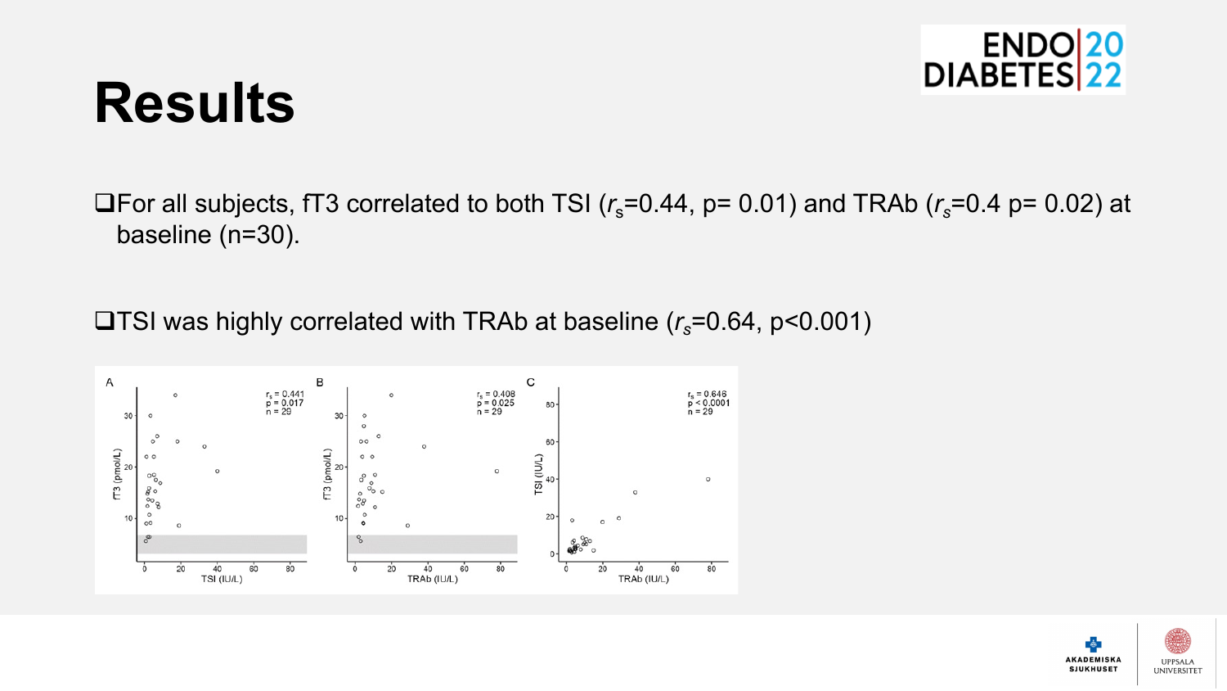

## **Results**

**QFor all subjects, fT3 correlated to both TSI (** $r_s$ **=0.44, p= 0.01) and TRAb (** $r_s$ **=0.4 p= 0.02) at** baseline (n=30).

**□TSI was highly correlated with TRAb at baseline (** $r_s$ **=0.64, p<0.001)** 



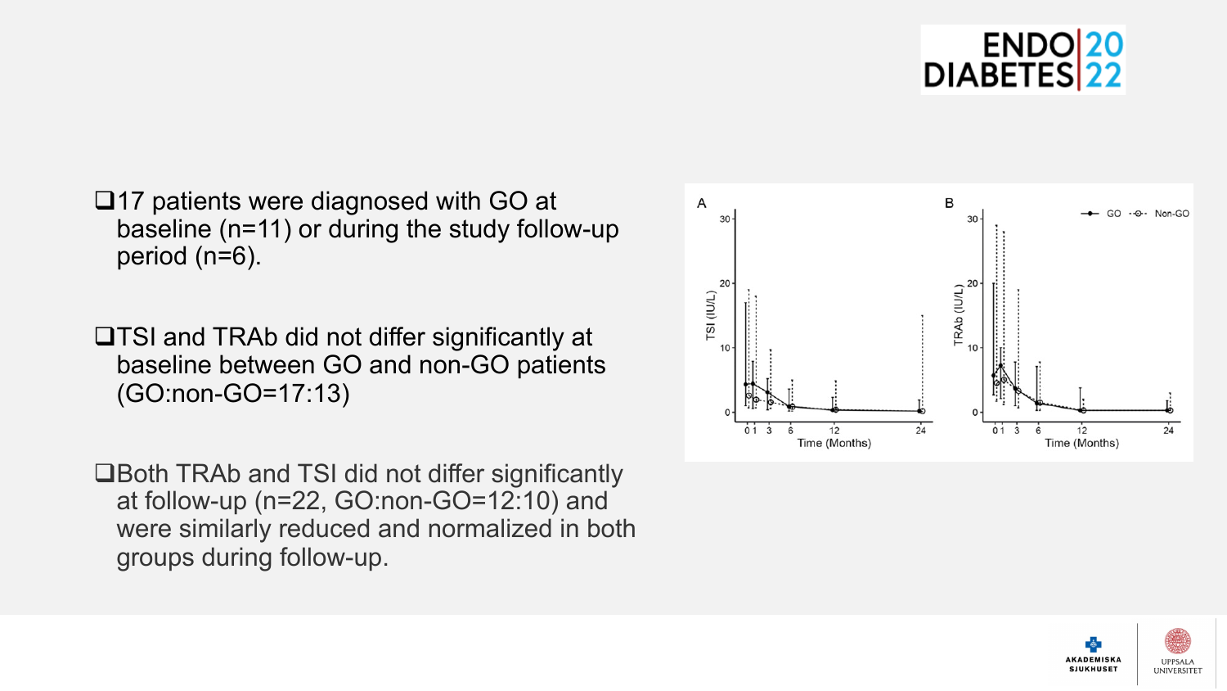

- $\square$ 17 patients were diagnosed with GO at baseline (n=11) or during the study follow-up period (n=6).
- **□TSI and TRAb did not differ significantly at** baseline between GO and non-GO patients (GO:non-GO=17:13)
- **□Both TRAb and TSI did not differ significantly** at follow-up (n=22, GO:non-GO=12:10) and were similarly reduced and normalized in both groups during follow-up.